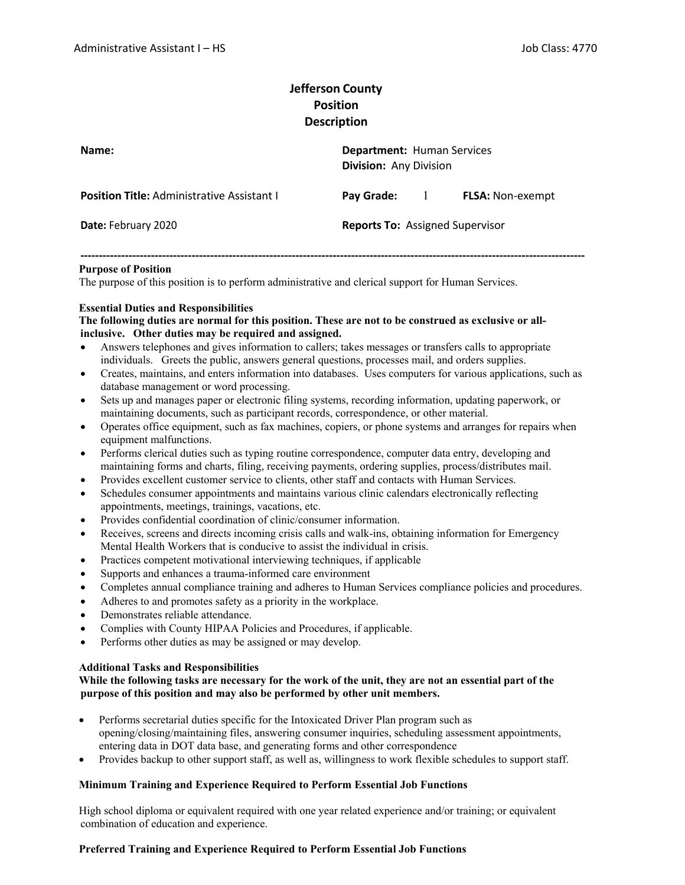# **Jefferson County Position Description**

| Name:                                             | <b>Department: Human Services</b><br><b>Division: Any Division</b> |              |                         |
|---------------------------------------------------|--------------------------------------------------------------------|--------------|-------------------------|
| <b>Position Title: Administrative Assistant I</b> | Pay Grade:                                                         | $\mathbf{1}$ | <b>FLSA:</b> Non-exempt |
| Date: February 2020                               | <b>Reports To: Assigned Supervisor</b>                             |              |                         |

**‐‐‐‐‐‐‐‐‐‐‐‐‐‐‐‐‐‐‐‐‐‐‐‐‐‐‐‐‐‐‐‐‐‐‐‐‐‐‐‐‐‐‐‐‐‐‐‐‐‐‐‐‐‐‐‐‐‐‐‐‐‐‐‐‐‐‐‐‐‐‐‐‐‐‐‐‐‐‐‐‐‐‐‐‐‐‐‐‐‐‐‐‐‐‐‐‐‐‐‐‐‐‐‐‐‐‐‐‐‐‐‐‐‐‐‐‐‐‐‐‐‐‐‐‐‐‐‐‐‐‐‐‐‐‐‐**

#### **Purpose of Position**

The purpose of this position is to perform administrative and clerical support for Human Services.

## **Essential Duties and Responsibilities**

#### **The following duties are normal for this position. These are not to be construed as exclusive or allinclusive. Other duties may be required and assigned.**

- Answers telephones and gives information to callers; takes messages or transfers calls to appropriate individuals. Greets the public, answers general questions, processes mail, and orders supplies.
- Creates, maintains, and enters information into databases. Uses computers for various applications, such as database management or word processing.
- Sets up and manages paper or electronic filing systems, recording information, updating paperwork, or maintaining documents, such as participant records, correspondence, or other material.
- Operates office equipment, such as fax machines, copiers, or phone systems and arranges for repairs when equipment malfunctions.
- Performs clerical duties such as typing routine correspondence, computer data entry, developing and maintaining forms and charts, filing, receiving payments, ordering supplies, process/distributes mail.
- Provides excellent customer service to clients, other staff and contacts with Human Services.
- Schedules consumer appointments and maintains various clinic calendars electronically reflecting appointments, meetings, trainings, vacations, etc.
- Provides confidential coordination of clinic/consumer information.
- Receives, screens and directs incoming crisis calls and walk-ins, obtaining information for Emergency Mental Health Workers that is conducive to assist the individual in crisis.
- Practices competent motivational interviewing techniques, if applicable
- Supports and enhances a trauma-informed care environment
- Completes annual compliance training and adheres to Human Services compliance policies and procedures.
- Adheres to and promotes safety as a priority in the workplace.
- Demonstrates reliable attendance.
- Complies with County HIPAA Policies and Procedures, if applicable.
- Performs other duties as may be assigned or may develop.

#### **Additional Tasks and Responsibilities**

## **While the following tasks are necessary for the work of the unit, they are not an essential part of the purpose of this position and may also be performed by other unit members.**

- Performs secretarial duties specific for the Intoxicated Driver Plan program such as opening/closing/maintaining files, answering consumer inquiries, scheduling assessment appointments, entering data in DOT data base, and generating forms and other correspondence
- Provides backup to other support staff, as well as, willingness to work flexible schedules to support staff.

#### **Minimum Training and Experience Required to Perform Essential Job Functions**

High school diploma or equivalent required with one year related experience and/or training; or equivalent combination of education and experience.

#### **Preferred Training and Experience Required to Perform Essential Job Functions**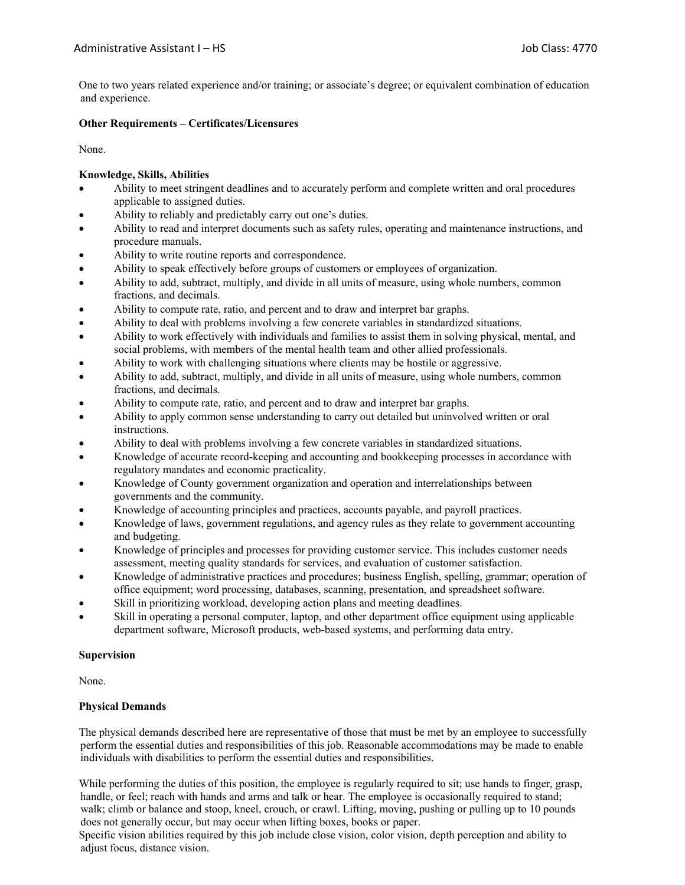One to two years related experience and/or training; or associate's degree; or equivalent combination of education and experience.

## **Other Requirements – Certificates/Licensures**

None.

## **Knowledge, Skills, Abilities**

- Ability to meet stringent deadlines and to accurately perform and complete written and oral procedures applicable to assigned duties.
- Ability to reliably and predictably carry out one's duties.
- Ability to read and interpret documents such as safety rules, operating and maintenance instructions, and procedure manuals.
- Ability to write routine reports and correspondence.
- Ability to speak effectively before groups of customers or employees of organization.
- Ability to add, subtract, multiply, and divide in all units of measure, using whole numbers, common fractions, and decimals.
- Ability to compute rate, ratio, and percent and to draw and interpret bar graphs.
- Ability to deal with problems involving a few concrete variables in standardized situations.
- Ability to work effectively with individuals and families to assist them in solving physical, mental, and social problems, with members of the mental health team and other allied professionals.
- Ability to work with challenging situations where clients may be hostile or aggressive.
- Ability to add, subtract, multiply, and divide in all units of measure, using whole numbers, common fractions, and decimals.
- Ability to compute rate, ratio, and percent and to draw and interpret bar graphs.
- Ability to apply common sense understanding to carry out detailed but uninvolved written or oral instructions.
- Ability to deal with problems involving a few concrete variables in standardized situations.
- Knowledge of accurate record-keeping and accounting and bookkeeping processes in accordance with regulatory mandates and economic practicality.
- Knowledge of County government organization and operation and interrelationships between governments and the community.
- Knowledge of accounting principles and practices, accounts payable, and payroll practices.
- Knowledge of laws, government regulations, and agency rules as they relate to government accounting and budgeting.
- Knowledge of principles and processes for providing customer service. This includes customer needs assessment, meeting quality standards for services, and evaluation of customer satisfaction.
- Knowledge of administrative practices and procedures; business English, spelling, grammar; operation of office equipment; word processing, databases, scanning, presentation, and spreadsheet software.
- Skill in prioritizing workload, developing action plans and meeting deadlines.
- Skill in operating a personal computer, laptop, and other department office equipment using applicable department software, Microsoft products, web-based systems, and performing data entry.

# **Supervision**

None.

# **Physical Demands**

The physical demands described here are representative of those that must be met by an employee to successfully perform the essential duties and responsibilities of this job. Reasonable accommodations may be made to enable individuals with disabilities to perform the essential duties and responsibilities.

While performing the duties of this position, the employee is regularly required to sit; use hands to finger, grasp, handle, or feel; reach with hands and arms and talk or hear. The employee is occasionally required to stand; walk; climb or balance and stoop, kneel, crouch, or crawl. Lifting, moving, pushing or pulling up to 10 pounds does not generally occur, but may occur when lifting boxes, books or paper.

Specific vision abilities required by this job include close vision, color vision, depth perception and ability to adjust focus, distance vision.